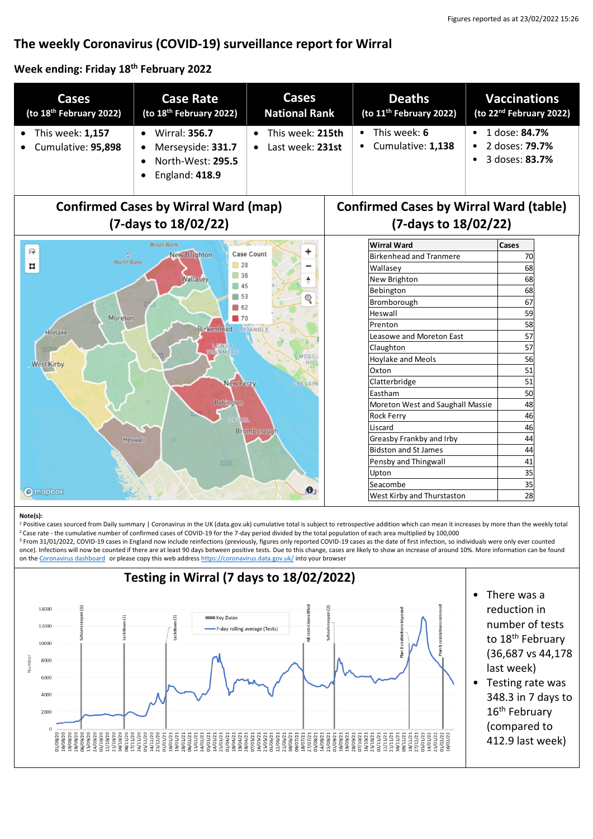# **The weekly Coronavirus (COVID-19) surveillance report for Wirral**

#### **Week ending: Friday 18 th February 2022**

| <b>Cases</b><br>(to 18 <sup>th</sup> February 2022)                                                                                                                                                                                                   | <b>Case Rate</b><br>(to 18 <sup>th</sup> February 2022)                                                    | <b>Cases</b><br><b>National Rank</b> | <b>Deaths</b><br>(to 11 <sup>th</sup> February 2022) | <b>Vaccinations</b><br>(to 22 <sup>nd</sup> February 2022)            |
|-------------------------------------------------------------------------------------------------------------------------------------------------------------------------------------------------------------------------------------------------------|------------------------------------------------------------------------------------------------------------|--------------------------------------|------------------------------------------------------|-----------------------------------------------------------------------|
| This week: 1,157<br>Cumulative: 95,898                                                                                                                                                                                                                | <b>Wirral: 356.7</b><br>$\bullet$<br>Merseyside: 331.7<br>North-West: 295.5<br>England: 418.9<br>$\bullet$ | This week: 215th<br>Last week: 231st | This week: 6<br>$\bullet$<br>Cumulative: 1,138       | 1 dose: 84.7%<br>$\bullet$<br>2 doses: <b>79.7%</b><br>3 doses: 83.7% |
| <b>Confirmed Cases by Wirral Ward (map)</b><br><b>Confirmed Cases by Wirral Ward (table)</b><br>(7-days to 18/02/22)<br>(7-days to 18/02/22)                                                                                                          |                                                                                                            |                                      |                                                      |                                                                       |
|                                                                                                                                                                                                                                                       | <b>Brazil Bank</b>                                                                                         |                                      | <b>Wirral Ward</b>                                   | Cases                                                                 |
| 曱<br>New Brighton<br><b>Case Count</b><br>North Bank<br>28<br>$\overline{\mathbf{u}}$<br>36<br>Wallasey<br>$\Box$ 45<br>$\Box$ 53<br>ୣ<br>■ 62<br>Moreton<br>$\blacksquare$ 70<br><b>Birkenhead</b><br>TRIANGLE<br>Hoylake<br>LOWER<br><b>RANMERE</b> |                                                                                                            |                                      | <b>Birkenhead and Tranmere</b>                       | 70                                                                    |
|                                                                                                                                                                                                                                                       |                                                                                                            |                                      | Wallasev                                             | 68                                                                    |
|                                                                                                                                                                                                                                                       |                                                                                                            |                                      | New Brighton                                         | 68                                                                    |
|                                                                                                                                                                                                                                                       |                                                                                                            |                                      | Bebington                                            | 68                                                                    |
|                                                                                                                                                                                                                                                       |                                                                                                            |                                      | Bromborough                                          | 67                                                                    |
|                                                                                                                                                                                                                                                       |                                                                                                            |                                      | Heswall                                              | 59                                                                    |
|                                                                                                                                                                                                                                                       |                                                                                                            |                                      | Prenton                                              | 58                                                                    |
|                                                                                                                                                                                                                                                       |                                                                                                            |                                      | Leasowe and Moreton East                             | 57                                                                    |
|                                                                                                                                                                                                                                                       |                                                                                                            |                                      | Claughton                                            | 57                                                                    |
| MOSSI<br><b>Hoylake and Meols</b><br>HIL<br><b>West Kirby</b><br>Oxton<br>Clatterbridge<br>New Ferry<br>CRESSIN<br>Eastham                                                                                                                            |                                                                                                            |                                      |                                                      | 56                                                                    |
|                                                                                                                                                                                                                                                       |                                                                                                            |                                      |                                                      | 51                                                                    |
|                                                                                                                                                                                                                                                       |                                                                                                            |                                      |                                                      | 51                                                                    |
|                                                                                                                                                                                                                                                       |                                                                                                            |                                      |                                                      | 50                                                                    |
| <b>Bebington</b>                                                                                                                                                                                                                                      |                                                                                                            |                                      | Moreton West and Saughall Massie                     | 48                                                                    |
|                                                                                                                                                                                                                                                       |                                                                                                            |                                      | <b>Rock Ferry</b>                                    | 46                                                                    |
| <b>Bromborough</b>                                                                                                                                                                                                                                    |                                                                                                            |                                      | Liscard                                              | 46                                                                    |
| Heswall                                                                                                                                                                                                                                               |                                                                                                            |                                      | Greasby Frankby and Irby                             | 44                                                                    |
|                                                                                                                                                                                                                                                       |                                                                                                            |                                      | <b>Bidston and St James</b>                          | 44                                                                    |
| Pensby and Thingwall<br>000                                                                                                                                                                                                                           |                                                                                                            |                                      |                                                      | 41                                                                    |
| Upton                                                                                                                                                                                                                                                 |                                                                                                            |                                      |                                                      | 35                                                                    |
| Seacombe<br>$\bullet$<br><b>O</b> mapbox                                                                                                                                                                                                              |                                                                                                            |                                      |                                                      | 35                                                                    |
|                                                                                                                                                                                                                                                       |                                                                                                            |                                      | West Kirby and Thurstaston                           | 28                                                                    |

#### **Note(s):**

1 Positive cases sourced from Daily summary | Coronavirus in the UK (data.gov.uk) cumulative total is subject to retrospective addition which can mean it increases by more than the weekly total <sup>2</sup>Case rate - the cumulative number of confirmed cases of COVID-19 for the 7-day period divided by the total population of each area multiplied by 100,000

<sup>3</sup> From 31/01/2022, COVID-19 cases in England now include reinfections (previously, figures only reported COVID-19 cases as the date of first infection, so individuals were only ever counted once). Infections will now be counted if there are at least 90 days between positive tests. Due to this change, cases are likely to show an increase of around 10%. More information can be found on the [Coronavirus dashboard](https://coronavirus.data.gov.uk/details/whats-new/record/af008739-ffa3-47b8-8efc-ef109f2cfbdd) or please copy this web addres[s https://coronavirus.data.gov.uk/](https://coronavirus.data.gov.uk/) into your browser

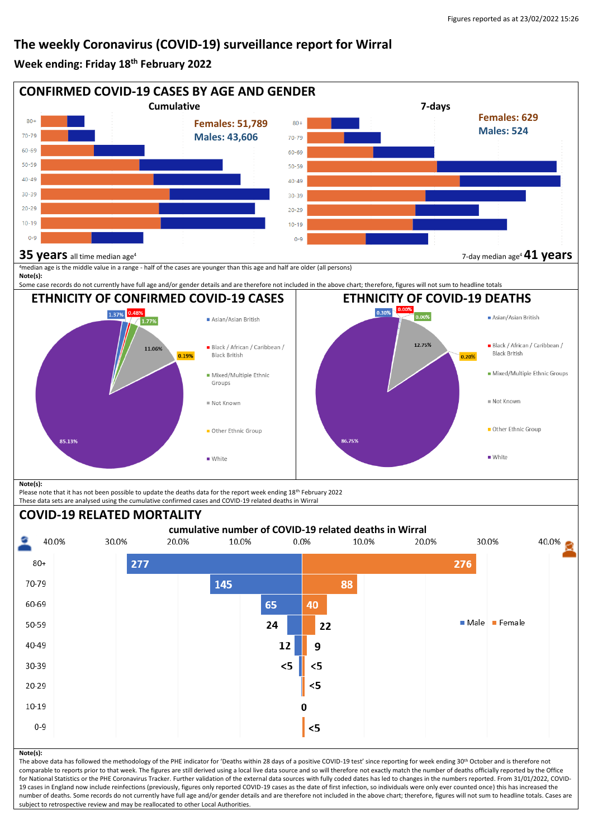### **The weekly Coronavirus (COVID-19) surveillance report for Wirral**

#### **Week ending: Friday 18 th February 2022**



for National Statistics or the PHE Coronavirus Tracker. Further validation of the external data sources with fully coded dates has led to changes in the numbers reported. From 31/01/2022, COVID-19 cases in England now include reinfections (previously, figures only reported COVID-19 cases as the date of first infection, so individuals were only ever counted once) this has increased the number of deaths. Some records do not currently have full age and/or gender details and are therefore not included in the above chart; therefore, figures will not sum to headline totals. Cases are subject to retrospective review and may be reallocated to other Local Authorities